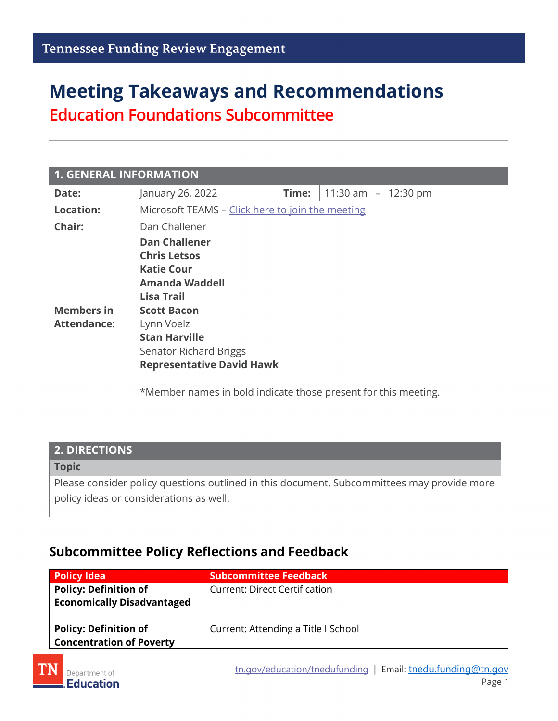# **Meeting Takeaways and Recommendations Education Foundations Subcommittee**

| <b>1. GENERAL INFORMATION</b>           |                                                                                                                                                                                                                                                 |       |                       |  |
|-----------------------------------------|-------------------------------------------------------------------------------------------------------------------------------------------------------------------------------------------------------------------------------------------------|-------|-----------------------|--|
| Date:                                   | January 26, 2022                                                                                                                                                                                                                                | Time: | 11:30 am $-$ 12:30 pm |  |
| <b>Location:</b>                        | Microsoft TEAMS - Click here to join the meeting                                                                                                                                                                                                |       |                       |  |
| Chair:                                  | Dan Challener                                                                                                                                                                                                                                   |       |                       |  |
| <b>Members in</b><br><b>Attendance:</b> | <b>Dan Challener</b><br><b>Chris Letsos</b><br><b>Katie Cour</b><br><b>Amanda Waddell</b><br><b>Lisa Trail</b><br><b>Scott Bacon</b><br>Lynn Voelz<br><b>Stan Harville</b><br><b>Senator Richard Briggs</b><br><b>Representative David Hawk</b> |       |                       |  |
|                                         | *Member names in bold indicate those present for this meeting.                                                                                                                                                                                  |       |                       |  |

### **2. DIRECTIONS**

#### **Topic**

Please consider policy questions outlined in this document. Subcommittees may provide more policy ideas or considerations as well.

### **Subcommittee Policy Reflections and Feedback**

| <b>Policy Idea</b>                                                | <b>Subcommittee Feedback</b>         |
|-------------------------------------------------------------------|--------------------------------------|
| <b>Policy: Definition of</b><br><b>Economically Disadvantaged</b> | <b>Current: Direct Certification</b> |
| <b>Policy: Definition of</b><br><b>Concentration of Poverty</b>   | Current: Attending a Title I School  |

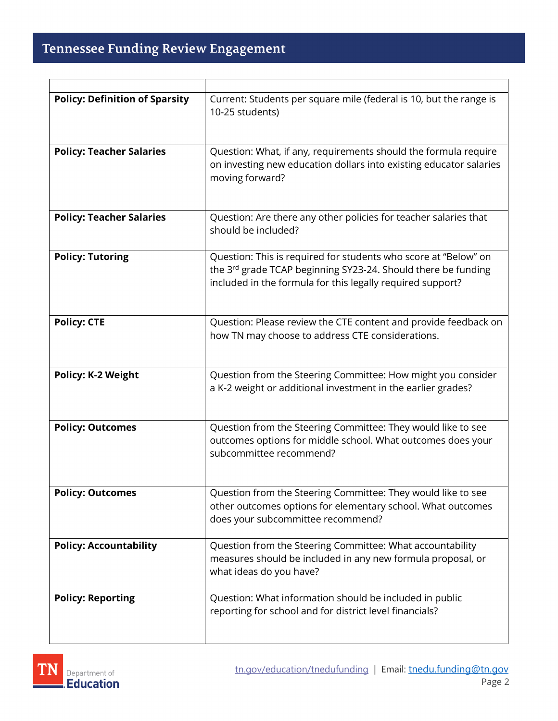r

| <b>Policy: Definition of Sparsity</b> | Current: Students per square mile (federal is 10, but the range is<br>10-25 students)                                                                                                          |
|---------------------------------------|------------------------------------------------------------------------------------------------------------------------------------------------------------------------------------------------|
| <b>Policy: Teacher Salaries</b>       | Question: What, if any, requirements should the formula require<br>on investing new education dollars into existing educator salaries<br>moving forward?                                       |
| <b>Policy: Teacher Salaries</b>       | Question: Are there any other policies for teacher salaries that<br>should be included?                                                                                                        |
| <b>Policy: Tutoring</b>               | Question: This is required for students who score at "Below" on<br>the 3rd grade TCAP beginning SY23-24. Should there be funding<br>included in the formula for this legally required support? |
| <b>Policy: CTE</b>                    | Question: Please review the CTE content and provide feedback on<br>how TN may choose to address CTE considerations.                                                                            |
| <b>Policy: K-2 Weight</b>             | Question from the Steering Committee: How might you consider<br>a K-2 weight or additional investment in the earlier grades?                                                                   |
| <b>Policy: Outcomes</b>               | Question from the Steering Committee: They would like to see<br>outcomes options for middle school. What outcomes does your<br>subcommittee recommend?                                         |
| <b>Policy: Outcomes</b>               | Question from the Steering Committee: They would like to see<br>other outcomes options for elementary school. What outcomes<br>does your subcommittee recommend?                               |
| <b>Policy: Accountability</b>         | Question from the Steering Committee: What accountability<br>measures should be included in any new formula proposal, or<br>what ideas do you have?                                            |
| <b>Policy: Reporting</b>              | Question: What information should be included in public<br>reporting for school and for district level financials?                                                                             |

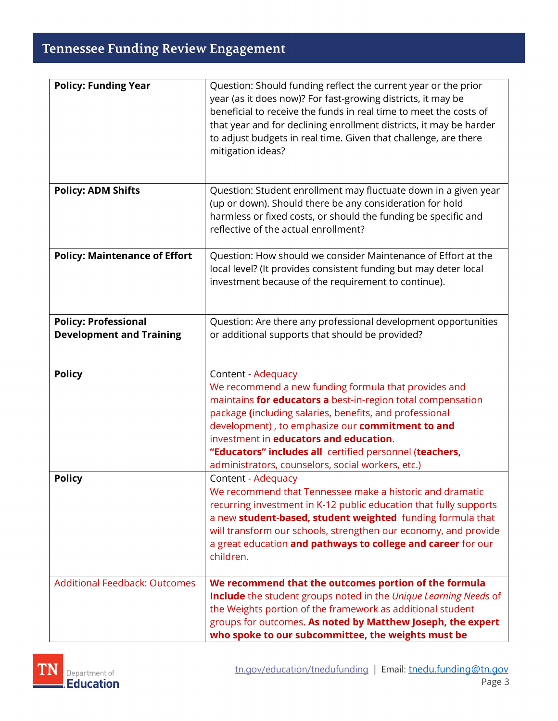### **Tennessee Funding Review Engagement**

| <b>Policy: Funding Year</b>                                    | Question: Should funding reflect the current year or the prior<br>year (as it does now)? For fast-growing districts, it may be<br>beneficial to receive the funds in real time to meet the costs of<br>that year and for declining enrollment districts, it may be harder<br>to adjust budgets in real time. Given that challenge, are there<br>mitigation ideas?                                                  |
|----------------------------------------------------------------|--------------------------------------------------------------------------------------------------------------------------------------------------------------------------------------------------------------------------------------------------------------------------------------------------------------------------------------------------------------------------------------------------------------------|
| <b>Policy: ADM Shifts</b>                                      | Question: Student enrollment may fluctuate down in a given year<br>(up or down). Should there be any consideration for hold<br>harmless or fixed costs, or should the funding be specific and<br>reflective of the actual enrollment?                                                                                                                                                                              |
| <b>Policy: Maintenance of Effort</b>                           | Question: How should we consider Maintenance of Effort at the<br>local level? (It provides consistent funding but may deter local<br>investment because of the requirement to continue).                                                                                                                                                                                                                           |
| <b>Policy: Professional</b><br><b>Development and Training</b> | Question: Are there any professional development opportunities<br>or additional supports that should be provided?                                                                                                                                                                                                                                                                                                  |
| <b>Policy</b>                                                  | Content - Adequacy<br>We recommend a new funding formula that provides and<br>maintains for educators a best-in-region total compensation<br>package (including salaries, benefits, and professional<br>development), to emphasize our commitment to and<br>investment in educators and education.<br>"Educators" includes all certified personnel (teachers,<br>administrators, counselors, social workers, etc.) |
| <b>Policy</b>                                                  | Content - Adequacy<br>We recommend that Tennessee make a historic and dramatic<br>recurring investment in K-12 public education that fully supports<br>a new student-based, student weighted funding formula that<br>will transform our schools, strengthen our economy, and provide<br>a great education and pathways to college and career for our<br>children.                                                  |
| <b>Additional Feedback: Outcomes</b>                           | We recommend that the outcomes portion of the formula<br>Include the student groups noted in the Unique Learning Needs of<br>the Weights portion of the framework as additional student<br>groups for outcomes. As noted by Matthew Joseph, the expert<br>who spoke to our subcommittee, the weights must be                                                                                                       |